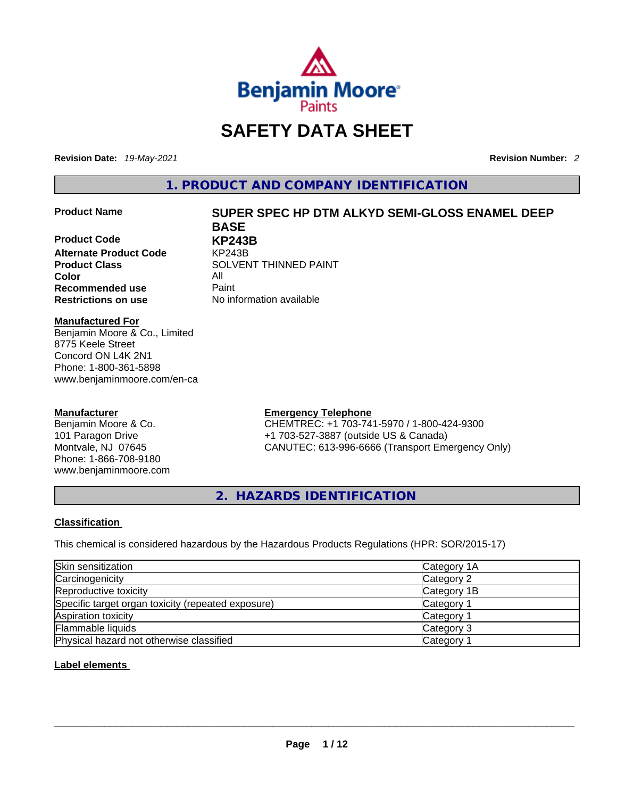

# **SAFETY DATA SHEET**

**Revision Date:** *19-May-2021* **Revision Number:** *2*

**1. PRODUCT AND COMPANY IDENTIFICATION** 

**Product Code KP243B Alternate Product Code** KP243B **Color** All<br> **Recommended use** Paint **Recommended use**<br>**Restrictions on use** 

#### **Product Name SUPER SPEC HP DTM ALKYD SEMI-GLOSS ENAMEL DEEP BASE**

**Product Class SOLVENT THINNED PAINT No information available** 

#### **Manufactured For**

Benjamin Moore & Co., Limited 8775 Keele Street Concord ON L4K 2N1 Phone: 1-800-361-5898 www.benjaminmoore.com/en-ca

#### **Manufacturer**

Benjamin Moore & Co. 101 Paragon Drive Montvale, NJ 07645 Phone: 1-866-708-9180 www.benjaminmoore.com

#### **Emergency Telephone**

CHEMTREC: +1 703-741-5970 / 1-800-424-9300 +1 703-527-3887 (outside US & Canada) CANUTEC: 613-996-6666 (Transport Emergency Only)

**2. HAZARDS IDENTIFICATION** 

#### **Classification**

This chemical is considered hazardous by the Hazardous Products Regulations (HPR: SOR/2015-17)

| Skin sensitization                                 | Category 1A           |
|----------------------------------------------------|-----------------------|
| Carcinogenicity                                    | Category 2            |
| Reproductive toxicity                              | Category 1B           |
| Specific target organ toxicity (repeated exposure) | <b>Category 1</b>     |
| Aspiration toxicity                                | Category 1            |
| <b>Flammable liquids</b>                           | Category 3            |
| Physical hazard not otherwise classified           | Category <sup>2</sup> |

#### **Label elements**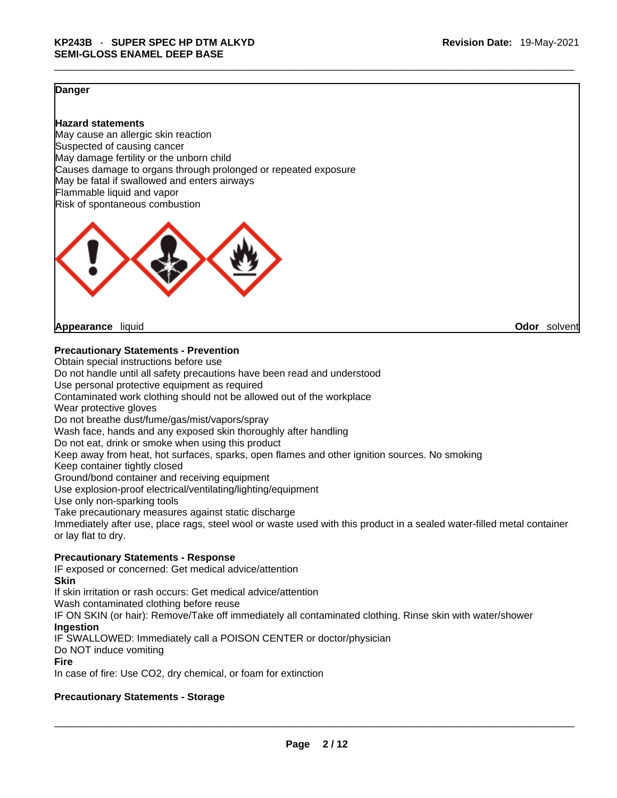#### **Danger**

#### **Hazard statements**

May cause an allergic skin reaction Suspected of causing cancer May damage fertility or the unborn child Causes damage to organs through prolonged or repeated exposure May be fatal if swallowed and enters airways Flammable liquid and vapor Risk of spontaneous combustion



**Appearance** liquid **Odor** solvent

#### **Precautionary Statements - Prevention**

Obtain special instructions before use Do not handle until all safety precautions have been read and understood Use personal protective equipment as required Contaminated work clothing should not be allowed out of the workplace Wear protective gloves Do not breathe dust/fume/gas/mist/vapors/spray Wash face, hands and any exposed skin thoroughly after handling Do not eat, drink or smoke when using this product Keep away from heat, hot surfaces, sparks, open flames and other ignition sources. No smoking Keep container tightly closed Ground/bond container and receiving equipment Use explosion-proof electrical/ventilating/lighting/equipment Use only non-sparking tools Take precautionary measures against static discharge Immediately after use, place rags, steel wool or waste used with this product in a sealed water-filled metal container or lay flat to dry. **Precautionary Statements - Response** IF exposed or concerned: Get medical advice/attention

**Skin**

If skin irritation or rash occurs: Get medical advice/attention

Wash contaminated clothing before reuse

IF ON SKIN (or hair): Remove/Take off immediately all contaminated clothing. Rinse skin with water/shower **Ingestion**

IF SWALLOWED: Immediately call a POISON CENTER or doctor/physician

Do NOT induce vomiting

#### **Fire**

In case of fire: Use CO2, dry chemical, or foam for extinction

#### **Precautionary Statements - Storage**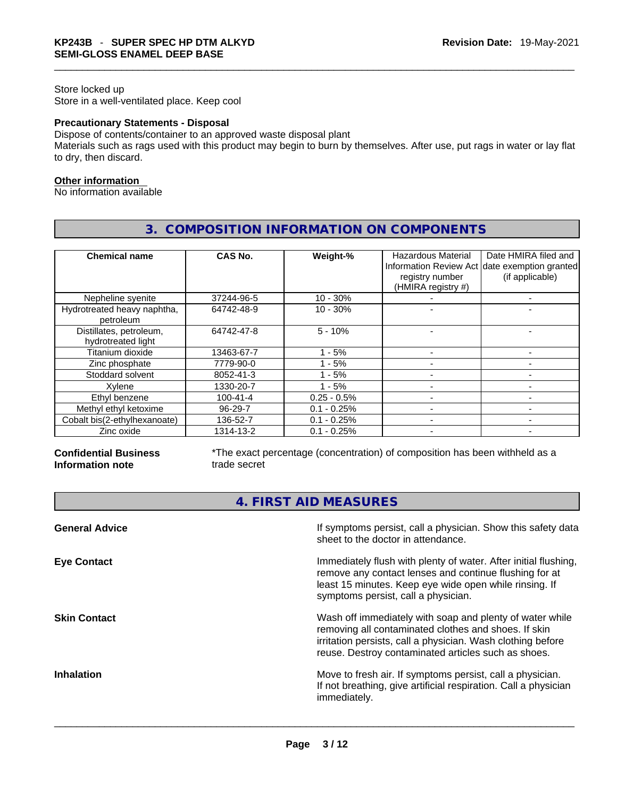#### Store locked up Store in a well-ventilated place. Keep cool

#### **Precautionary Statements - Disposal**

Dispose of contents/container to an approved waste disposal plant

Materials such as rags used with this product may begin to burn by themselves. After use, put rags in water or lay flat to dry, then discard.

#### **Other information**

No information available

| <b>Chemical name</b>                          | CAS No.        | Weight-%      | <b>Hazardous Material</b><br>registry number<br>(HMIRA registry #) | Date HMIRA filed and<br>Information Review Act date exemption granted<br>(if applicable) |
|-----------------------------------------------|----------------|---------------|--------------------------------------------------------------------|------------------------------------------------------------------------------------------|
| Nepheline syenite                             | 37244-96-5     | $10 - 30%$    |                                                                    | -                                                                                        |
| Hydrotreated heavy naphtha,<br>petroleum      | 64742-48-9     | $10 - 30%$    |                                                                    |                                                                                          |
| Distillates, petroleum,<br>hydrotreated light | 64742-47-8     | $5 - 10%$     |                                                                    |                                                                                          |
| Titanium dioxide                              | 13463-67-7     | $1 - 5%$      |                                                                    |                                                                                          |
| Zinc phosphate                                | 7779-90-0      | $-5%$         |                                                                    |                                                                                          |
| Stoddard solvent                              | 8052-41-3      | $-5%$         |                                                                    |                                                                                          |
| Xylene                                        | 1330-20-7      | $1 - 5%$      |                                                                    |                                                                                          |
| Ethyl benzene                                 | $100 - 41 - 4$ | $0.25 - 0.5%$ |                                                                    |                                                                                          |
| Methyl ethyl ketoxime                         | $96 - 29 - 7$  | $0.1 - 0.25%$ |                                                                    |                                                                                          |
| Cobalt bis(2-ethylhexanoate)                  | 136-52-7       | $0.1 - 0.25%$ |                                                                    |                                                                                          |
| Zinc oxide                                    | 1314-13-2      | $0.1 - 0.25%$ |                                                                    |                                                                                          |

### **3. COMPOSITION INFORMATION ON COMPONENTS**

#### **Confidential Business Information note**

\*The exact percentage (concentration) of composition has been withheld as a trade secret

**4. FIRST AID MEASURES** 

| <b>General Advice</b> | If symptoms persist, call a physician. Show this safety data<br>sheet to the doctor in attendance.                                                                                                                                     |
|-----------------------|----------------------------------------------------------------------------------------------------------------------------------------------------------------------------------------------------------------------------------------|
| <b>Eye Contact</b>    | Immediately flush with plenty of water. After initial flushing,<br>remove any contact lenses and continue flushing for at<br>least 15 minutes. Keep eye wide open while rinsing. If<br>symptoms persist, call a physician.             |
| <b>Skin Contact</b>   | Wash off immediately with soap and plenty of water while<br>removing all contaminated clothes and shoes. If skin<br>irritation persists, call a physician. Wash clothing before<br>reuse. Destroy contaminated articles such as shoes. |
| <b>Inhalation</b>     | Move to fresh air. If symptoms persist, call a physician.<br>If not breathing, give artificial respiration. Call a physician<br>immediately.                                                                                           |
|                       |                                                                                                                                                                                                                                        |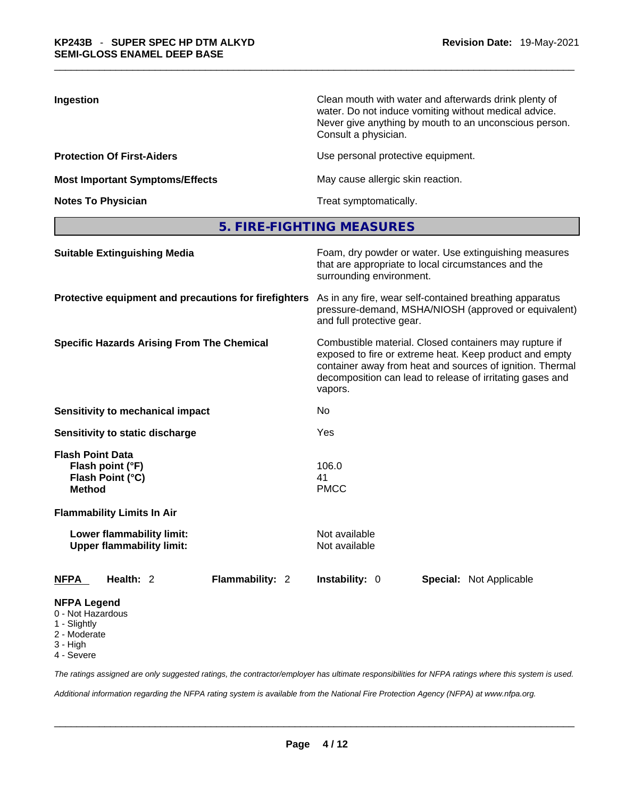| Ingestion                              | Clean mouth with water and afterwards drink plenty of<br>water. Do not induce vomiting without medical advice.<br>Never give anything by mouth to an unconscious person.<br>Consult a physician. |
|----------------------------------------|--------------------------------------------------------------------------------------------------------------------------------------------------------------------------------------------------|
| <b>Protection Of First-Aiders</b>      | Use personal protective equipment.                                                                                                                                                               |
| <b>Most Important Symptoms/Effects</b> | May cause allergic skin reaction.                                                                                                                                                                |
| <b>Notes To Physician</b>              | Treat symptomatically.                                                                                                                                                                           |

**5. FIRE-FIGHTING MEASURES** 

| <b>Suitable Extinguishing Media</b>                                              | Foam, dry powder or water. Use extinguishing measures<br>that are appropriate to local circumstances and the<br>surrounding environment.<br>As in any fire, wear self-contained breathing apparatus<br>pressure-demand, MSHA/NIOSH (approved or equivalent)<br>and full protective gear. |  |  |  |
|----------------------------------------------------------------------------------|------------------------------------------------------------------------------------------------------------------------------------------------------------------------------------------------------------------------------------------------------------------------------------------|--|--|--|
| Protective equipment and precautions for firefighters                            |                                                                                                                                                                                                                                                                                          |  |  |  |
| <b>Specific Hazards Arising From The Chemical</b>                                | Combustible material. Closed containers may rupture if<br>exposed to fire or extreme heat. Keep product and empty<br>container away from heat and sources of ignition. Thermal<br>decomposition can lead to release of irritating gases and<br>vapors.                                   |  |  |  |
| Sensitivity to mechanical impact                                                 | No                                                                                                                                                                                                                                                                                       |  |  |  |
| Sensitivity to static discharge                                                  | Yes<br>106.0<br>41<br><b>PMCC</b>                                                                                                                                                                                                                                                        |  |  |  |
| <b>Flash Point Data</b><br>Flash point (°F)<br>Flash Point (°C)<br><b>Method</b> |                                                                                                                                                                                                                                                                                          |  |  |  |
| <b>Flammability Limits In Air</b>                                                |                                                                                                                                                                                                                                                                                          |  |  |  |
| Lower flammability limit:<br><b>Upper flammability limit:</b>                    | Not available<br>Not available                                                                                                                                                                                                                                                           |  |  |  |
| Health: 2<br>Flammability: 2<br><b>NFPA</b>                                      | Instability: 0<br><b>Special: Not Applicable</b>                                                                                                                                                                                                                                         |  |  |  |
| <b>NFPA Legend</b><br>0 - Not Hazardous<br>1 - Slightly<br>2 - Moderate          |                                                                                                                                                                                                                                                                                          |  |  |  |

- 3 High
- 4 Severe

*The ratings assigned are only suggested ratings, the contractor/employer has ultimate responsibilities for NFPA ratings where this system is used.* 

*Additional information regarding the NFPA rating system is available from the National Fire Protection Agency (NFPA) at www.nfpa.org.*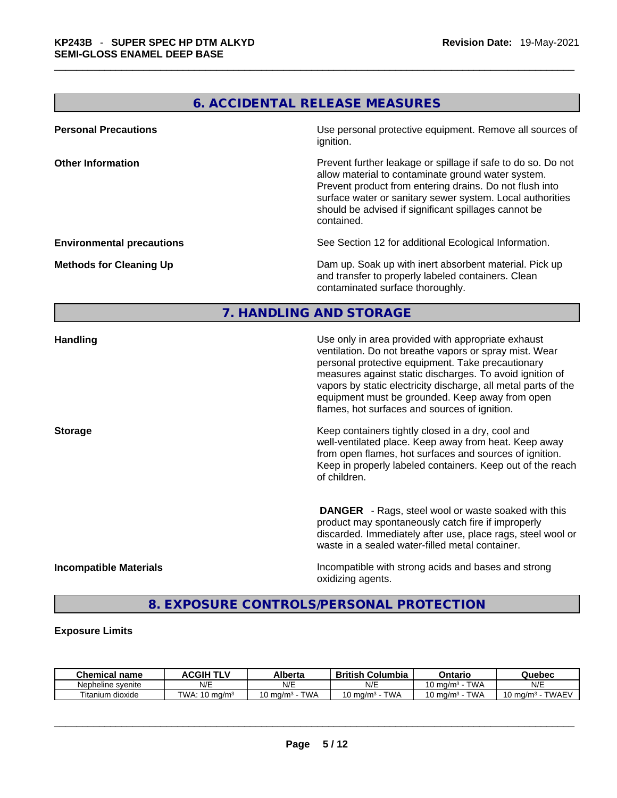## **6. ACCIDENTAL RELEASE MEASURES**

| <b>Personal Precautions</b>      | Use personal protective equipment. Remove all sources of<br>ignition.                                                                                                                                                                                                                                            |
|----------------------------------|------------------------------------------------------------------------------------------------------------------------------------------------------------------------------------------------------------------------------------------------------------------------------------------------------------------|
| <b>Other Information</b>         | Prevent further leakage or spillage if safe to do so. Do not<br>allow material to contaminate ground water system.<br>Prevent product from entering drains. Do not flush into<br>surface water or sanitary sewer system. Local authorities<br>should be advised if significant spillages cannot be<br>contained. |
| <b>Environmental precautions</b> | See Section 12 for additional Ecological Information.                                                                                                                                                                                                                                                            |
| <b>Methods for Cleaning Up</b>   | Dam up. Soak up with inert absorbent material. Pick up<br>and transfer to properly labeled containers. Clean<br>contaminated surface thoroughly.                                                                                                                                                                 |

#### **7. HANDLING AND STORAGE**

| <b>Handling</b>               | Use only in area provided with appropriate exhaust<br>ventilation. Do not breathe vapors or spray mist. Wear<br>personal protective equipment. Take precautionary<br>measures against static discharges. To avoid ignition of<br>vapors by static electricity discharge, all metal parts of the<br>equipment must be grounded. Keep away from open<br>flames, hot surfaces and sources of ignition. |
|-------------------------------|-----------------------------------------------------------------------------------------------------------------------------------------------------------------------------------------------------------------------------------------------------------------------------------------------------------------------------------------------------------------------------------------------------|
| <b>Storage</b>                | Keep containers tightly closed in a dry, cool and<br>well-ventilated place. Keep away from heat. Keep away<br>from open flames, hot surfaces and sources of ignition.<br>Keep in properly labeled containers. Keep out of the reach<br>of children.                                                                                                                                                 |
|                               | <b>DANGER</b> - Rags, steel wool or waste soaked with this<br>product may spontaneously catch fire if improperly<br>discarded. Immediately after use, place rags, steel wool or<br>waste in a sealed water-filled metal container.                                                                                                                                                                  |
| <b>Incompatible Materials</b> | Incompatible with strong acids and bases and strong<br>oxidizing agents.                                                                                                                                                                                                                                                                                                                            |

## **8. EXPOSURE CONTROLS/PERSONAL PROTECTION**

#### **Exposure Limits**

| <b>Chemical</b><br>name | <b>ACGIH</b>                       | Alberta                    | British<br>Columbia | Ontario                          | Quebec                              |
|-------------------------|------------------------------------|----------------------------|---------------------|----------------------------------|-------------------------------------|
| Nepheline svenite       | N/E                                | N/E                        | N/E                 | <b>TWA</b><br>10 ma/m $^{\rm 3}$ | N/E                                 |
| Titanium.<br>dioxide    | TWA:<br>$\cdot$ 10 ma/m $^{\circ}$ | TWA<br>$10 \text{ ma/m}^3$ | TWA<br>. J ma/mª    | <b>TWA</b><br>10 mg/m $3$        | <b>TWAEV</b><br>ma/m <sup>3</sup> س |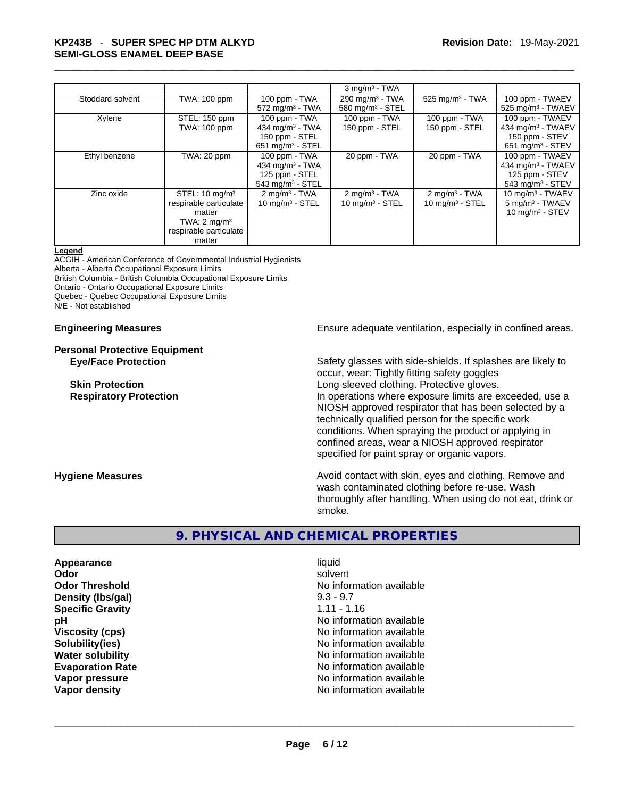# \_\_\_\_\_\_\_\_\_\_\_\_\_\_\_\_\_\_\_\_\_\_\_\_\_\_\_\_\_\_\_\_\_\_\_\_\_\_\_\_\_\_\_\_\_\_\_\_\_\_\_\_\_\_\_\_\_\_\_\_\_\_\_\_\_\_\_\_\_\_\_\_\_\_\_\_\_\_\_\_\_\_\_\_\_\_\_\_\_\_\_\_\_ **KP243B** - **SUPER SPEC HP DTM ALKYD SEMI-GLOSS ENAMEL DEEP BASE**

|                  |                                                                                                                              |                                                                                         | $3$ mg/m <sup>3</sup> - TWA                     |                                                 |                                                                                                    |
|------------------|------------------------------------------------------------------------------------------------------------------------------|-----------------------------------------------------------------------------------------|-------------------------------------------------|-------------------------------------------------|----------------------------------------------------------------------------------------------------|
| Stoddard solvent | TWA: 100 ppm                                                                                                                 | 100 ppm - TWA<br>$572$ mg/m <sup>3</sup> - TWA                                          | 290 mg/m $3$ - TWA<br>580 mg/m $3 -$ STEL       | 525 mg/m $3$ - TWA                              | 100 ppm - TWAEV<br>525 mg/m <sup>3</sup> - TWAEV                                                   |
| Xylene           | STEL: 150 ppm<br>TWA: 100 ppm                                                                                                | 100 ppm - TWA<br>434 mg/m $3$ - TWA<br>150 ppm - STEL<br>651 mg/m $3 -$ STEL            | 100 ppm - TWA<br>150 ppm - STEL                 | 100 ppm - TWA<br>150 ppm - STEL                 | 100 ppm - TWAEV<br>434 mg/m <sup>3</sup> - TWAEV<br>150 ppm - STEV<br>651 mg/m <sup>3</sup> - STEV |
| Ethyl benzene    | TWA: 20 ppm                                                                                                                  | 100 ppm - TWA<br>434 mg/m $3$ - TWA<br>125 ppm - STEL<br>$543$ mg/m <sup>3</sup> - STEL | 20 ppm - TWA                                    | 20 ppm - TWA                                    | 100 ppm - TWAEV<br>434 mg/m $3$ - TWAEV<br>125 ppm - STEV<br>543 mg/m $3 -$ STEV                   |
| Zinc oxide       | STEL: $10 \text{ mg/m}^3$<br>respirable particulate<br>matter<br>TWA: $2 \text{ mg/m}^3$<br>respirable particulate<br>matter | $2 \text{ mg/m}^3$ - TWA<br>$10 \text{ mg/m}$ <sup>3</sup> - STEL                       | $2 \text{mq/m}^3$ - TWA<br>$10$ mg/m $3 -$ STEL | $2 \text{mq/m}^3$ - TWA<br>$10$ mg/m $3 -$ STEL | 10 mg/m $3$ - TWAEV<br>5 mg/m <sup>3</sup> - TWAEV<br>10 mg/m $3 -$ STEV                           |

#### **Legend**

ACGIH - American Conference of Governmental Industrial Hygienists Alberta - Alberta Occupational Exposure Limits British Columbia - British Columbia Occupational Exposure Limits Ontario - Ontario Occupational Exposure Limits Quebec - Quebec Occupational Exposure Limits N/E - Not established

# **Personal Protective Equipment**

**Engineering Measures Ensure adequate ventilation, especially in confined areas.** 

**Eye/Face Protection** Safety glasses with side-shields. If splashes are likely to occur, wear: Tightly fitting safety goggles **Skin Protection Skin Protection Cong sleeved clothing. Protective gloves. Respiratory Protection In operations where exposure limits are exceeded, use a** local protection NIOSH approved respirator that has been selected by a technically qualified person for the specific work conditions. When spraying the product or applying in confined areas, wear a NIOSH approved respirator

**Hygiene Measures Avoid contact with skin, eyes and clothing. Remove and Avoid contact with skin, eyes and clothing. Remove and Avoid contact with skin, eyes and clothing. Remove and** wash contaminated clothing before re-use. Wash thoroughly after handling. When using do not eat, drink or smoke.

specified for paint spray or organic vapors.

#### **9. PHYSICAL AND CHEMICAL PROPERTIES**

**Appearance** liquid **Density (lbs/gal)** 9.3 - 9.7 **Specific Gravity** 1.11 - 1.16

**Odor Solvent Solvent Solvent Solvent Odor Threshold No information available No information available pH pH 1 Viscosity (cps) Viscosity (cps) No information available Solubility(ies)** No information available **Water solubility Water solubility No information available Evaporation Rate No information available No information available Vapor pressure and area in the contract of the Vapor pressure and available** value of the Vapor density of Vapor<br>
Vapor density and available value of Vapor density of Vapor density of Vapor density of Vapor density of Va **Vapor density** No information available \_\_\_\_\_\_\_\_\_\_\_\_\_\_\_\_\_\_\_\_\_\_\_\_\_\_\_\_\_\_\_\_\_\_\_\_\_\_\_\_\_\_\_\_\_\_\_\_\_\_\_\_\_\_\_\_\_\_\_\_\_\_\_\_\_\_\_\_\_\_\_\_\_\_\_\_\_\_\_\_\_\_\_\_\_\_\_\_\_\_\_\_\_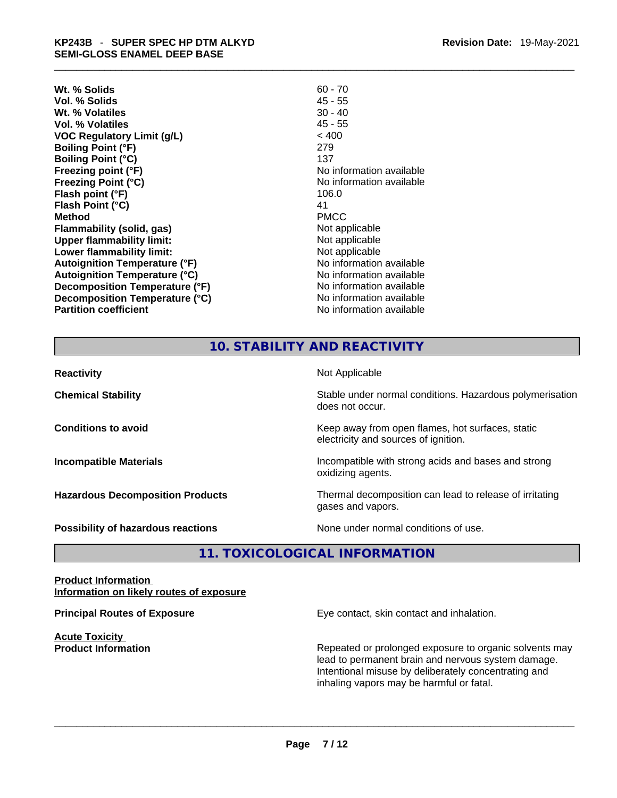## \_\_\_\_\_\_\_\_\_\_\_\_\_\_\_\_\_\_\_\_\_\_\_\_\_\_\_\_\_\_\_\_\_\_\_\_\_\_\_\_\_\_\_\_\_\_\_\_\_\_\_\_\_\_\_\_\_\_\_\_\_\_\_\_\_\_\_\_\_\_\_\_\_\_\_\_\_\_\_\_\_\_\_\_\_\_\_\_\_\_\_\_\_ **KP243B** - **SUPER SPEC HP DTM ALKYD SEMI-GLOSS ENAMEL DEEP BASE**

- **Wt. % Solids** 60 70 **Vol. % Solids** 45 - 55 **Wt. % Volatiles** 30 - 40 **Vol. % Volatiles** 45 - 55 **VOC Regulatory Limit (g/L)** < 400 **Boiling Point (°F)** 279 **Boiling Point (°C)** 137 **Freezing point (°F)**<br> **Freezing Point (°C)**<br> **Freezing Point (°C)**<br> **COVERTY:**<br> **COVERTY:**<br> **No information available Flash point (°F)** 106.0 **Flash Point (°C)** 41 **Method** PMCC **Flammability (solid, gas)** Not applicable **Upper flammability limit:**<br> **Lower flammability limit:**<br>
Not applicable<br>
Not applicable **Lower flammability limit:**<br> **Autoignition Temperature (°F)** Not applicable Not applicable available **Autoignition Temperature (°F) Autoignition Temperature (°C)** No information available **Decomposition Temperature (°F)** No information available **Decomposition Temperature (°C)** No information available **Partition coefficient Contract Contract Contract Contract Contract Contract Contract Contract Contract Contract Contract Contract Contract Contract Contract Contract Contract Contract Contract Contract Contract Contract**
- **Revision Date:** 19-May-2021
- **Freezing Point (°C)** No information available

### **10. STABILITY AND REACTIVITY**

| <b>Reactivity</b>                       | Not Applicable                                                                           |
|-----------------------------------------|------------------------------------------------------------------------------------------|
| <b>Chemical Stability</b>               | Stable under normal conditions. Hazardous polymerisation<br>does not occur.              |
| <b>Conditions to avoid</b>              | Keep away from open flames, hot surfaces, static<br>electricity and sources of ignition. |
| <b>Incompatible Materials</b>           | Incompatible with strong acids and bases and strong<br>oxidizing agents.                 |
| <b>Hazardous Decomposition Products</b> | Thermal decomposition can lead to release of irritating<br>gases and vapors.             |
| Possibility of hazardous reactions      | None under normal conditions of use.                                                     |

**11. TOXICOLOGICAL INFORMATION** 

**Product Information Information on likely routes of exposure**

**Acute Toxicity** 

**Principal Routes of Exposure Exposure** Eye contact, skin contact and inhalation.

**Product Information Repeated or prolonged exposure to organic solvents may** Repeated or prolonged exposure to organic solvents may lead to permanent brain and nervous system damage. Intentional misuse by deliberately concentrating and inhaling vapors may be harmful or fatal.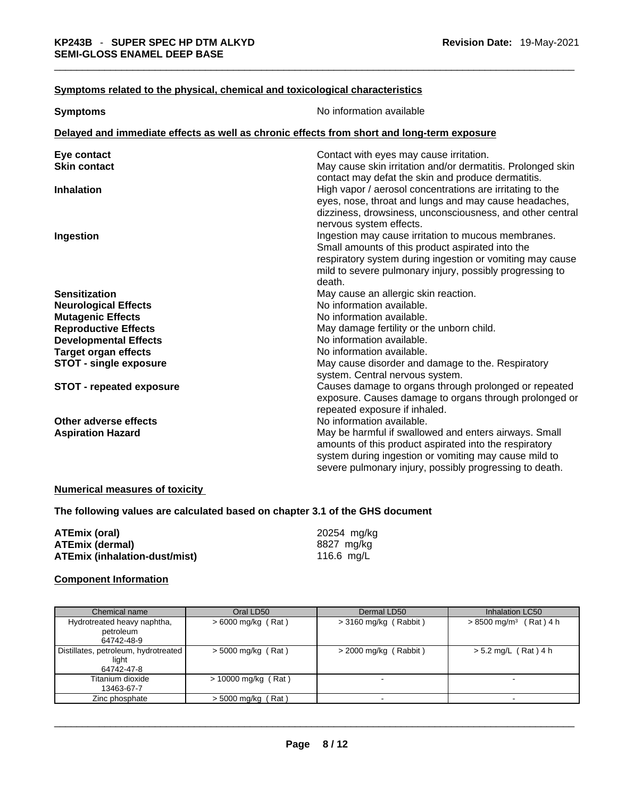#### **Symptoms** related to the physical, chemical and toxicological characteristics

| <b>Symptoms</b>                 | No information available                                                                   |  |  |
|---------------------------------|--------------------------------------------------------------------------------------------|--|--|
|                                 | Delayed and immediate effects as well as chronic effects from short and long-term exposure |  |  |
|                                 |                                                                                            |  |  |
| Eye contact                     | Contact with eyes may cause irritation.                                                    |  |  |
| <b>Skin contact</b>             | May cause skin irritation and/or dermatitis. Prolonged skin                                |  |  |
|                                 | contact may defat the skin and produce dermatitis.                                         |  |  |
| <b>Inhalation</b>               | High vapor / aerosol concentrations are irritating to the                                  |  |  |
|                                 | eyes, nose, throat and lungs and may cause headaches,                                      |  |  |
|                                 | dizziness, drowsiness, unconsciousness, and other central                                  |  |  |
|                                 | nervous system effects.<br>Ingestion may cause irritation to mucous membranes.             |  |  |
| Ingestion                       | Small amounts of this product aspirated into the                                           |  |  |
|                                 | respiratory system during ingestion or vomiting may cause                                  |  |  |
|                                 | mild to severe pulmonary injury, possibly progressing to                                   |  |  |
|                                 | death.                                                                                     |  |  |
| <b>Sensitization</b>            | May cause an allergic skin reaction.                                                       |  |  |
| <b>Neurological Effects</b>     | No information available.                                                                  |  |  |
| <b>Mutagenic Effects</b>        | No information available.                                                                  |  |  |
| <b>Reproductive Effects</b>     | May damage fertility or the unborn child.                                                  |  |  |
| <b>Developmental Effects</b>    | No information available.                                                                  |  |  |
| <b>Target organ effects</b>     | No information available.                                                                  |  |  |
| <b>STOT - single exposure</b>   | May cause disorder and damage to the. Respiratory                                          |  |  |
|                                 | system. Central nervous system.                                                            |  |  |
| <b>STOT - repeated exposure</b> | Causes damage to organs through prolonged or repeated                                      |  |  |
|                                 | exposure. Causes damage to organs through prolonged or                                     |  |  |
|                                 | repeated exposure if inhaled.                                                              |  |  |
| Other adverse effects           | No information available.                                                                  |  |  |
| <b>Aspiration Hazard</b>        | May be harmful if swallowed and enters airways. Small                                      |  |  |
|                                 | amounts of this product aspirated into the respiratory                                     |  |  |
|                                 | system during ingestion or vomiting may cause mild to                                      |  |  |
|                                 | severe pulmonary injury, possibly progressing to death.                                    |  |  |

#### **Numerical measures of toxicity**

**The following values are calculated based on chapter 3.1 of the GHS document**

| ATEmix (oral)                 | 20254 mg/kg  |
|-------------------------------|--------------|
| ATEmix (dermal)               | 8827 mg/kg   |
| ATEmix (inhalation-dust/mist) | 116.6 $mq/L$ |

#### **Component Information**

| Chemical name                                               | Oral LD50             | Dermal LD50             | Inhalation LC50                      |
|-------------------------------------------------------------|-----------------------|-------------------------|--------------------------------------|
| Hydrotreated heavy naphtha,<br>petroleum<br>64742-48-9      | $>6000$ mg/kg (Rat)   | $>$ 3160 mg/kg (Rabbit) | $> 8500$ mg/m <sup>3</sup> (Rat) 4 h |
| Distillates, petroleum, hydrotreated<br>light<br>64742-47-8 | $>$ 5000 mg/kg (Rat)  | $>$ 2000 mg/kg (Rabbit) | $> 5.2$ mg/L (Rat) 4 h               |
| Titanium dioxide<br>13463-67-7                              | $> 10000$ mg/kg (Rat) |                         |                                      |
| Zinc phosphate                                              | $> 5000$ mg/kg (Rat)  |                         |                                      |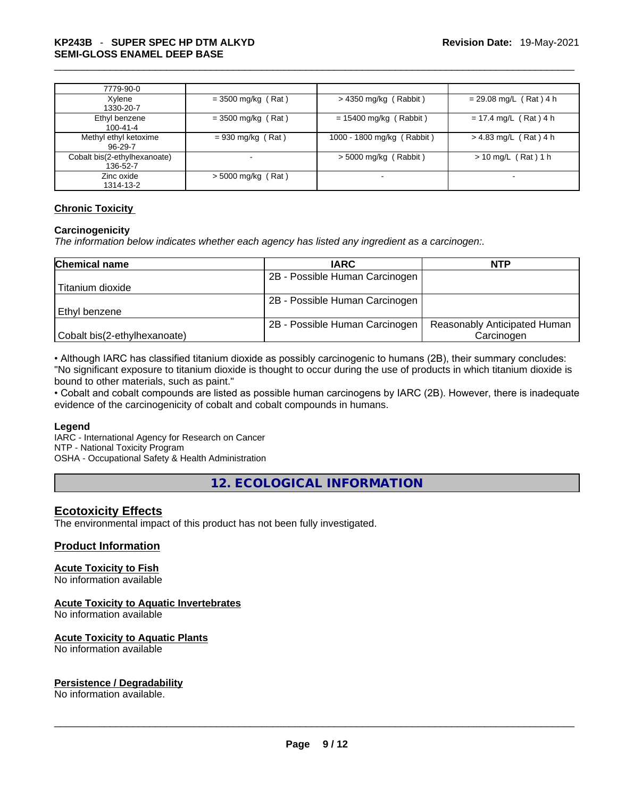| 7779-90-0                                |                      |                            |                          |
|------------------------------------------|----------------------|----------------------------|--------------------------|
| Xylene<br>1330-20-7                      | $=$ 3500 mg/kg (Rat) | $>$ 4350 mg/kg (Rabbit)    | $= 29.08$ mg/L (Rat) 4 h |
| Ethyl benzene<br>$100 - 41 - 4$          | $=$ 3500 mg/kg (Rat) | $= 15400$ mg/kg (Rabbit)   | $= 17.4$ mg/L (Rat) 4 h  |
| Methyl ethyl ketoxime<br>96-29-7         | $= 930$ mg/kg (Rat)  | 1000 - 1800 mg/kg (Rabbit) | $> 4.83$ mg/L (Rat) 4 h  |
| Cobalt bis(2-ethylhexanoate)<br>136-52-7 | ۰                    | $> 5000$ mg/kg (Rabbit)    | $> 10$ mg/L (Rat) 1 h    |
| Zinc oxide<br>1314-13-2                  | $>$ 5000 mg/kg (Rat) |                            |                          |

#### **Chronic Toxicity**

#### **Carcinogenicity**

*The information below indicates whether each agency has listed any ingredient as a carcinogen:.* 

| <b>Chemical name</b>         | <b>IARC</b>                    | <b>NTP</b>                   |
|------------------------------|--------------------------------|------------------------------|
|                              | 2B - Possible Human Carcinogen |                              |
| Titanium dioxide             |                                |                              |
|                              | 2B - Possible Human Carcinogen |                              |
| l Ethvl benzene              |                                |                              |
|                              | 2B - Possible Human Carcinogen | Reasonably Anticipated Human |
| Cobalt bis(2-ethylhexanoate) |                                | Carcinogen                   |

• Although IARC has classified titanium dioxide as possibly carcinogenic to humans (2B), their summary concludes: "No significant exposure to titanium dioxide is thought to occur during the use of products in which titanium dioxide is bound to other materials, such as paint."

• Cobalt and cobalt compounds are listed as possible human carcinogens by IARC (2B). However, there is inadequate evidence of the carcinogenicity of cobalt and cobalt compounds in humans.

#### **Legend**

IARC - International Agency for Research on Cancer NTP - National Toxicity Program OSHA - Occupational Safety & Health Administration

**12. ECOLOGICAL INFORMATION** 

#### **Ecotoxicity Effects**

The environmental impact of this product has not been fully investigated.

#### **Product Information**

#### **Acute Toxicity to Fish**

No information available

#### **Acute Toxicity to Aquatic Invertebrates**

No information available

#### **Acute Toxicity to Aquatic Plants**

# No information available \_\_\_\_\_\_\_\_\_\_\_\_\_\_\_\_\_\_\_\_\_\_\_\_\_\_\_\_\_\_\_\_\_\_\_\_\_\_\_\_\_\_\_\_\_\_\_\_\_\_\_\_\_\_\_\_\_\_\_\_\_\_\_\_\_\_\_\_\_\_\_\_\_\_\_\_\_\_\_\_\_\_\_\_\_\_\_\_\_\_\_\_\_ **Persistence / Degradability**

No information available.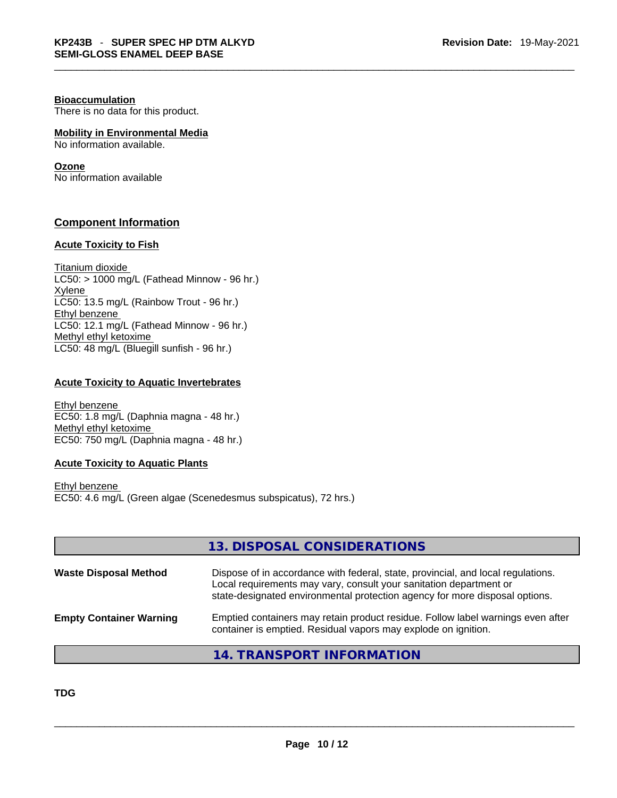#### **Bioaccumulation**

There is no data for this product.

#### **Mobility in Environmental Media**

No information available.

#### **Ozone**

No information available

#### **Component Information**

#### **Acute Toxicity to Fish**

Titanium dioxide  $LC50:$  > 1000 mg/L (Fathead Minnow - 96 hr.) Xylene LC50: 13.5 mg/L (Rainbow Trout - 96 hr.) Ethyl benzene LC50: 12.1 mg/L (Fathead Minnow - 96 hr.) Methyl ethyl ketoxime LC50: 48 mg/L (Bluegill sunfish - 96 hr.)

#### **Acute Toxicity to Aquatic Invertebrates**

Ethyl benzene EC50: 1.8 mg/L (Daphnia magna - 48 hr.) Methyl ethyl ketoxime EC50: 750 mg/L (Daphnia magna - 48 hr.)

#### **Acute Toxicity to Aquatic Plants**

Ethyl benzene EC50: 4.6 mg/L (Green algae (Scenedesmus subspicatus), 72 hrs.)

|                                | 13. DISPOSAL CONSIDERATIONS                                                                                                                                                                                                           |
|--------------------------------|---------------------------------------------------------------------------------------------------------------------------------------------------------------------------------------------------------------------------------------|
| <b>Waste Disposal Method</b>   | Dispose of in accordance with federal, state, provincial, and local regulations.<br>Local requirements may vary, consult your sanitation department or<br>state-designated environmental protection agency for more disposal options. |
| <b>Empty Container Warning</b> | Emptied containers may retain product residue. Follow label warnings even after<br>container is emptied. Residual vapors may explode on ignition.                                                                                     |

#### **14. TRANSPORT INFORMATION**

**TDG**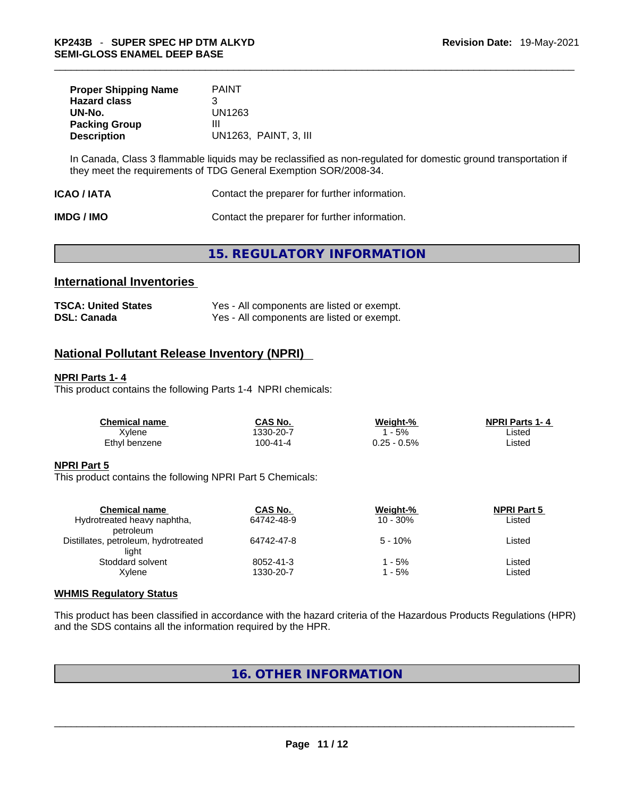| <b>Proper Shipping Name</b><br><b>Hazard class</b> | <b>PAINT</b><br>З     |
|----------------------------------------------------|-----------------------|
| UN-No.                                             | UN1263                |
| <b>Packing Group</b>                               | Ш                     |
| <b>Description</b>                                 | UN1263. PAINT, 3. III |

In Canada, Class 3 flammable liquids may be reclassified as non-regulated for domestic ground transportation if they meet the requirements of TDG General Exemption SOR/2008-34.

| ICAO / IATA | Contact the preparer for further information. |  |
|-------------|-----------------------------------------------|--|
|-------------|-----------------------------------------------|--|

**IMDG / IMO Contact the preparer for further information.** 

# **15. REGULATORY INFORMATION**

#### **International Inventories**

| <b>TSCA: United States</b> | Yes - All components are listed or exempt. |
|----------------------------|--------------------------------------------|
| <b>DSL: Canada</b>         | Yes - All components are listed or exempt. |

#### **National Pollutant Release Inventory (NPRI)**

#### **NPRI Parts 1- 4**

This product contains the following Parts 1-4 NPRI chemicals:

| <b>Chemical name</b> | CAS No.   | Weight-%    | <b>NPRI Parts 1-4</b> |  |
|----------------------|-----------|-------------|-----------------------|--|
| Xvlene               | 1330-20-7 | 5%          | Listed                |  |
| Ethyl benzene        | 100-41-4  | 0.25 - 0.5% | ∟isted                |  |

#### **NPRI Part 5**

This product contains the following NPRI Part 5 Chemicals:

| <b>Chemical name</b>                 | CAS No.    | Weight-%    | <b>NPRI Part 5</b> |  |
|--------------------------------------|------------|-------------|--------------------|--|
| Hydrotreated heavy naphtha,          | 64742-48-9 | $10 - 30\%$ | Listed             |  |
| petroleum                            |            |             |                    |  |
| Distillates, petroleum, hydrotreated | 64742-47-8 | $5 - 10%$   | Listed             |  |
| light                                |            |             |                    |  |
| Stoddard solvent                     | 8052-41-3  | - 5%        | Listed             |  |
| Xvlene                               | 1330-20-7  | - 5%        | Listed             |  |
|                                      |            |             |                    |  |

#### **WHMIS Regulatory Status**

This product has been classified in accordance with the hazard criteria of the Hazardous Products Regulations (HPR) and the SDS contains all the information required by the HPR.

#### **16. OTHER INFORMATION**